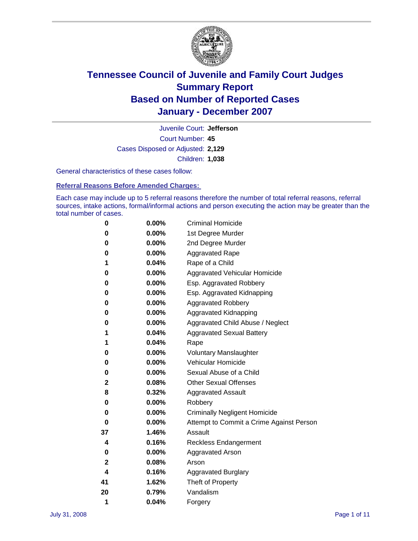

Court Number: **45** Juvenile Court: **Jefferson** Cases Disposed or Adjusted: **2,129** Children: **1,038**

General characteristics of these cases follow:

**Referral Reasons Before Amended Charges:** 

Each case may include up to 5 referral reasons therefore the number of total referral reasons, referral sources, intake actions, formal/informal actions and person executing the action may be greater than the total number of cases.

| 0  | 0.00%    | <b>Criminal Homicide</b>                 |
|----|----------|------------------------------------------|
| 0  | 0.00%    | 1st Degree Murder                        |
| 0  | $0.00\%$ | 2nd Degree Murder                        |
| 0  | 0.00%    | <b>Aggravated Rape</b>                   |
| 1  | 0.04%    | Rape of a Child                          |
| 0  | 0.00%    | Aggravated Vehicular Homicide            |
| 0  | 0.00%    | Esp. Aggravated Robbery                  |
| 0  | 0.00%    | Esp. Aggravated Kidnapping               |
| 0  | 0.00%    | <b>Aggravated Robbery</b>                |
| 0  | 0.00%    | Aggravated Kidnapping                    |
| 0  | 0.00%    | Aggravated Child Abuse / Neglect         |
| 1  | 0.04%    | <b>Aggravated Sexual Battery</b>         |
| 1  | 0.04%    | Rape                                     |
| 0  | 0.00%    | <b>Voluntary Manslaughter</b>            |
| 0  | 0.00%    | Vehicular Homicide                       |
| 0  | 0.00%    | Sexual Abuse of a Child                  |
| 2  | 0.08%    | <b>Other Sexual Offenses</b>             |
| 8  | 0.32%    | <b>Aggravated Assault</b>                |
| 0  | $0.00\%$ | Robbery                                  |
| 0  | 0.00%    | <b>Criminally Negligent Homicide</b>     |
| 0  | 0.00%    | Attempt to Commit a Crime Against Person |
| 37 | 1.46%    | Assault                                  |
| 4  | 0.16%    | <b>Reckless Endangerment</b>             |
| 0  | 0.00%    | <b>Aggravated Arson</b>                  |
| 2  | 0.08%    | Arson                                    |
| 4  | 0.16%    | <b>Aggravated Burglary</b>               |
| 41 | 1.62%    | Theft of Property                        |
| 20 | 0.79%    | Vandalism                                |
| 1  | 0.04%    | Forgery                                  |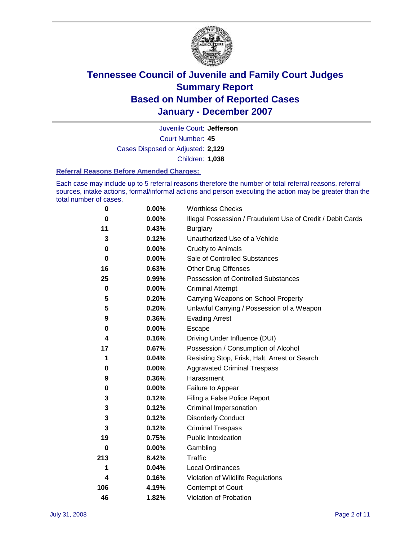

Court Number: **45** Juvenile Court: **Jefferson** Cases Disposed or Adjusted: **2,129** Children: **1,038**

#### **Referral Reasons Before Amended Charges:**

Each case may include up to 5 referral reasons therefore the number of total referral reasons, referral sources, intake actions, formal/informal actions and person executing the action may be greater than the total number of cases.

| 0           | 0.00%    | <b>Worthless Checks</b>                                     |
|-------------|----------|-------------------------------------------------------------|
| 0           | 0.00%    | Illegal Possession / Fraudulent Use of Credit / Debit Cards |
| 11          | 0.43%    | <b>Burglary</b>                                             |
| 3           | 0.12%    | Unauthorized Use of a Vehicle                               |
| 0           | 0.00%    | <b>Cruelty to Animals</b>                                   |
| 0           | $0.00\%$ | Sale of Controlled Substances                               |
| 16          | 0.63%    | <b>Other Drug Offenses</b>                                  |
| 25          | 0.99%    | <b>Possession of Controlled Substances</b>                  |
| $\mathbf 0$ | 0.00%    | <b>Criminal Attempt</b>                                     |
| 5           | 0.20%    | Carrying Weapons on School Property                         |
| 5           | 0.20%    | Unlawful Carrying / Possession of a Weapon                  |
| 9           | 0.36%    | <b>Evading Arrest</b>                                       |
| 0           | 0.00%    | Escape                                                      |
| 4           | 0.16%    | Driving Under Influence (DUI)                               |
| 17          | 0.67%    | Possession / Consumption of Alcohol                         |
| 1           | 0.04%    | Resisting Stop, Frisk, Halt, Arrest or Search               |
| 0           | $0.00\%$ | <b>Aggravated Criminal Trespass</b>                         |
| 9           | 0.36%    | Harassment                                                  |
| 0           | $0.00\%$ | Failure to Appear                                           |
| 3           | 0.12%    | Filing a False Police Report                                |
| 3           | 0.12%    | Criminal Impersonation                                      |
| 3           | 0.12%    | <b>Disorderly Conduct</b>                                   |
| 3           | 0.12%    | <b>Criminal Trespass</b>                                    |
| 19          | 0.75%    | <b>Public Intoxication</b>                                  |
| 0           | $0.00\%$ | Gambling                                                    |
| 213         | 8.42%    | Traffic                                                     |
| 1           | 0.04%    | Local Ordinances                                            |
| 4           | 0.16%    | Violation of Wildlife Regulations                           |
| 106         | 4.19%    | Contempt of Court                                           |
| 46          | 1.82%    | Violation of Probation                                      |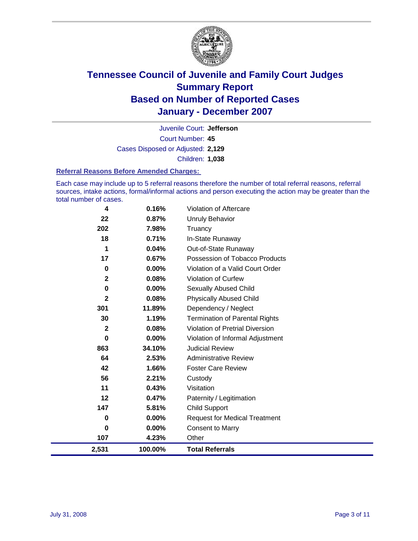

Court Number: **45** Juvenile Court: **Jefferson** Cases Disposed or Adjusted: **2,129** Children: **1,038**

#### **Referral Reasons Before Amended Charges:**

Each case may include up to 5 referral reasons therefore the number of total referral reasons, referral sources, intake actions, formal/informal actions and person executing the action may be greater than the total number of cases.

| 2,531        | 100.00%  | <b>Total Referrals</b>                 |
|--------------|----------|----------------------------------------|
| 107          | 4.23%    | Other                                  |
| 0            | 0.00%    | <b>Consent to Marry</b>                |
| 0            | $0.00\%$ | <b>Request for Medical Treatment</b>   |
| 147          | 5.81%    | <b>Child Support</b>                   |
| 12           | 0.47%    | Paternity / Legitimation               |
| 11           | 0.43%    | Visitation                             |
| 56           | 2.21%    | Custody                                |
| 42           | 1.66%    | <b>Foster Care Review</b>              |
| 64           | 2.53%    | <b>Administrative Review</b>           |
| 863          | 34.10%   | <b>Judicial Review</b>                 |
| 0            | 0.00%    | Violation of Informal Adjustment       |
| $\mathbf{2}$ | 0.08%    | <b>Violation of Pretrial Diversion</b> |
| 30           | 1.19%    | <b>Termination of Parental Rights</b>  |
| 301          | 11.89%   | Dependency / Neglect                   |
| $\mathbf{2}$ | 0.08%    | <b>Physically Abused Child</b>         |
| 0            | $0.00\%$ | <b>Sexually Abused Child</b>           |
| $\mathbf{2}$ | 0.08%    | <b>Violation of Curfew</b>             |
| 0            | 0.00%    | Violation of a Valid Court Order       |
| 17           | 0.67%    | Possession of Tobacco Products         |
| 1            | 0.04%    | Out-of-State Runaway                   |
| 18           | 0.71%    | In-State Runaway                       |
| 202          | 7.98%    | Truancy                                |
| 22           | 0.87%    | <b>Unruly Behavior</b>                 |
| 4            | 0.16%    | Violation of Aftercare                 |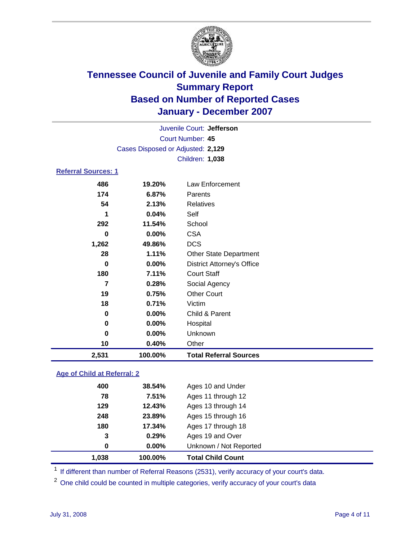

Court Number: **45** Juvenile Court: **Jefferson** Cases Disposed or Adjusted: **2,129** Children: **1,038 Referral Sources: 1**

| 2,531 | 100.00%  | <b>Total Referral Sources</b>     |
|-------|----------|-----------------------------------|
| 10    | 0.40%    | Other                             |
| 0     | 0.00%    | Unknown                           |
| 0     | 0.00%    | Hospital                          |
| 0     | 0.00%    | Child & Parent                    |
| 18    | 0.71%    | Victim                            |
| 19    | 0.75%    | <b>Other Court</b>                |
| 7     | 0.28%    | Social Agency                     |
| 180   | 7.11%    | <b>Court Staff</b>                |
| 0     | $0.00\%$ | <b>District Attorney's Office</b> |
| 28    | 1.11%    | <b>Other State Department</b>     |
| 1,262 | 49.86%   | <b>DCS</b>                        |
| 0     | 0.00%    | <b>CSA</b>                        |
| 292   | 11.54%   | School                            |
| 1     | 0.04%    | Self                              |
| 54    | 2.13%    | Relatives                         |
| 174   | 6.87%    | Parents                           |
| 486   | 19.20%   | Law Enforcement                   |

### **Age of Child at Referral: 2**

| 1.038 | 100.00%    | <b>Total Child Count</b> |
|-------|------------|--------------------------|
|       | 0.00%<br>0 | Unknown / Not Reported   |
|       | 3<br>0.29% | Ages 19 and Over         |
| 180   | 17.34%     | Ages 17 through 18       |
| 248   | 23.89%     | Ages 15 through 16       |
| 129   | 12.43%     | Ages 13 through 14       |
| 78    | 7.51%      | Ages 11 through 12       |
| 400   | 38.54%     | Ages 10 and Under        |
|       |            |                          |

<sup>1</sup> If different than number of Referral Reasons (2531), verify accuracy of your court's data.

<sup>2</sup> One child could be counted in multiple categories, verify accuracy of your court's data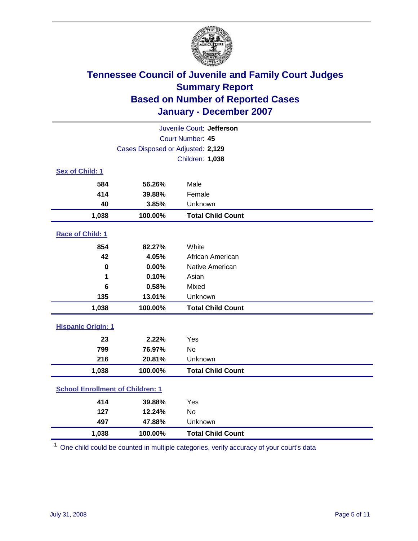

| Juvenile Court: Jefferson               |                                   |                          |  |  |  |
|-----------------------------------------|-----------------------------------|--------------------------|--|--|--|
| Court Number: 45                        |                                   |                          |  |  |  |
|                                         | Cases Disposed or Adjusted: 2,129 |                          |  |  |  |
|                                         |                                   | Children: 1,038          |  |  |  |
| Sex of Child: 1                         |                                   |                          |  |  |  |
| 584                                     | 56.26%                            | Male                     |  |  |  |
| 414                                     | 39.88%                            | Female                   |  |  |  |
| 40                                      | 3.85%                             | Unknown                  |  |  |  |
| 1,038                                   | 100.00%                           | <b>Total Child Count</b> |  |  |  |
| Race of Child: 1                        |                                   |                          |  |  |  |
| 854                                     | 82.27%                            | White                    |  |  |  |
| 42                                      | 4.05%                             | African American         |  |  |  |
| $\bf{0}$                                | 0.00%                             | Native American          |  |  |  |
| 1                                       | 0.10%                             | Asian                    |  |  |  |
| 6                                       | 0.58%                             | Mixed                    |  |  |  |
| 135                                     | 13.01%                            | Unknown                  |  |  |  |
| 1,038                                   | 100.00%                           | <b>Total Child Count</b> |  |  |  |
| <b>Hispanic Origin: 1</b>               |                                   |                          |  |  |  |
| 23                                      | 2.22%                             | Yes                      |  |  |  |
| 799                                     | 76.97%                            | <b>No</b>                |  |  |  |
| 216                                     | 20.81%                            | Unknown                  |  |  |  |
| 1,038                                   | 100.00%                           | <b>Total Child Count</b> |  |  |  |
| <b>School Enrollment of Children: 1</b> |                                   |                          |  |  |  |
| 414                                     | 39.88%                            | Yes                      |  |  |  |
| 127                                     | 12.24%                            | <b>No</b>                |  |  |  |
| 497                                     | 47.88%                            | Unknown                  |  |  |  |
| 1,038                                   | 100.00%                           | <b>Total Child Count</b> |  |  |  |

 $1$  One child could be counted in multiple categories, verify accuracy of your court's data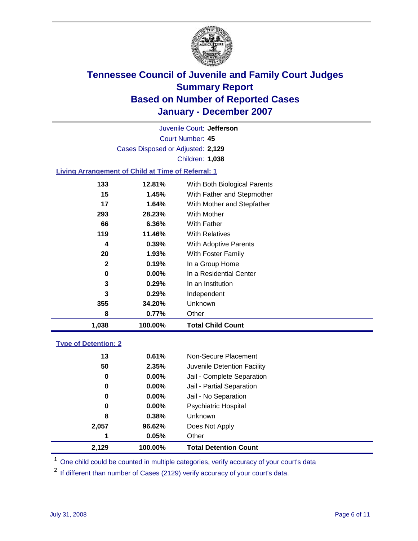

Court Number: **45** Juvenile Court: **Jefferson** Cases Disposed or Adjusted: **2,129** Children: **1,038**

### **Living Arrangement of Child at Time of Referral: 1**

| 1,038 | 100.00%  | <b>Total Child Count</b>     |
|-------|----------|------------------------------|
| 8     | 0.77%    | Other                        |
| 355   | 34.20%   | Unknown                      |
| 3     | 0.29%    | Independent                  |
| 3     | 0.29%    | In an Institution            |
| 0     | $0.00\%$ | In a Residential Center      |
| 2     | 0.19%    | In a Group Home              |
| 20    | 1.93%    | With Foster Family           |
| 4     | 0.39%    | <b>With Adoptive Parents</b> |
| 119   | 11.46%   | <b>With Relatives</b>        |
| 66    | 6.36%    | With Father                  |
| 293   | 28.23%   | With Mother                  |
| 17    | 1.64%    | With Mother and Stepfather   |
| 15    | 1.45%    | With Father and Stepmother   |
| 133   | 12.81%   | With Both Biological Parents |

#### **Type of Detention: 2**

| 2,129 | 100.00%  | <b>Total Detention Count</b> |
|-------|----------|------------------------------|
| 1     | 0.05%    | Other                        |
| 2,057 | 96.62%   | Does Not Apply               |
| 8     | 0.38%    | <b>Unknown</b>               |
| 0     | 0.00%    | Psychiatric Hospital         |
| 0     | $0.00\%$ | Jail - No Separation         |
| 0     | $0.00\%$ | Jail - Partial Separation    |
| 0     | 0.00%    | Jail - Complete Separation   |
| 50    | 2.35%    | Juvenile Detention Facility  |
| 13    | 0.61%    | Non-Secure Placement         |
|       |          |                              |

<sup>1</sup> One child could be counted in multiple categories, verify accuracy of your court's data

<sup>2</sup> If different than number of Cases (2129) verify accuracy of your court's data.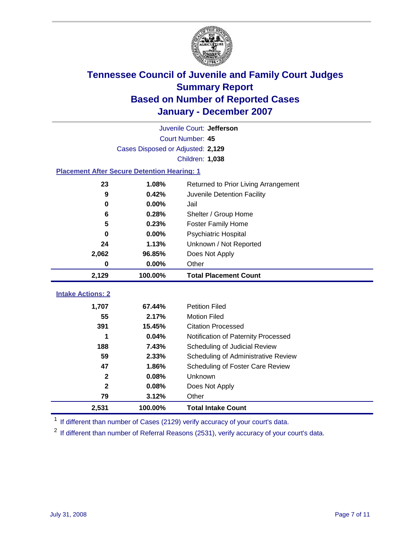

|                                                    | Juvenile Court: Jefferson         |                                      |  |  |  |
|----------------------------------------------------|-----------------------------------|--------------------------------------|--|--|--|
|                                                    | Court Number: 45                  |                                      |  |  |  |
|                                                    | Cases Disposed or Adjusted: 2,129 |                                      |  |  |  |
|                                                    |                                   | Children: 1,038                      |  |  |  |
| <b>Placement After Secure Detention Hearing: 1</b> |                                   |                                      |  |  |  |
| 23                                                 | 1.08%                             | Returned to Prior Living Arrangement |  |  |  |
| $\boldsymbol{9}$                                   | 0.42%                             | Juvenile Detention Facility          |  |  |  |
| 0                                                  | 0.00%                             | Jail                                 |  |  |  |
| 6                                                  | 0.28%                             | Shelter / Group Home                 |  |  |  |
| 5                                                  | 0.23%                             | <b>Foster Family Home</b>            |  |  |  |
| $\bf{0}$                                           | 0.00%                             | Psychiatric Hospital                 |  |  |  |
| 24                                                 | 1.13%                             | Unknown / Not Reported               |  |  |  |
| 2,062                                              | 96.85%                            | Does Not Apply                       |  |  |  |
| $\bf{0}$                                           | $0.00\%$                          | Other                                |  |  |  |
| 2,129                                              | 100.00%                           | <b>Total Placement Count</b>         |  |  |  |
| <b>Intake Actions: 2</b>                           |                                   |                                      |  |  |  |
|                                                    |                                   |                                      |  |  |  |
| 1,707                                              | 67.44%                            | <b>Petition Filed</b>                |  |  |  |
| 55                                                 | 2.17%                             | <b>Motion Filed</b>                  |  |  |  |
| 391                                                | 15.45%                            | <b>Citation Processed</b>            |  |  |  |
| 1                                                  | 0.04%                             | Notification of Paternity Processed  |  |  |  |
| 188                                                | 7.43%                             | Scheduling of Judicial Review        |  |  |  |
| 59                                                 | 2.33%                             | Scheduling of Administrative Review  |  |  |  |
| 47                                                 | 1.86%                             | Scheduling of Foster Care Review     |  |  |  |
| $\mathbf 2$                                        | 0.08%                             | Unknown                              |  |  |  |
| $\overline{2}$                                     | 0.08%                             | Does Not Apply                       |  |  |  |
| 79                                                 | 3.12%                             | Other                                |  |  |  |
| 2,531                                              | 100.00%                           | <b>Total Intake Count</b>            |  |  |  |

<sup>1</sup> If different than number of Cases (2129) verify accuracy of your court's data.

<sup>2</sup> If different than number of Referral Reasons (2531), verify accuracy of your court's data.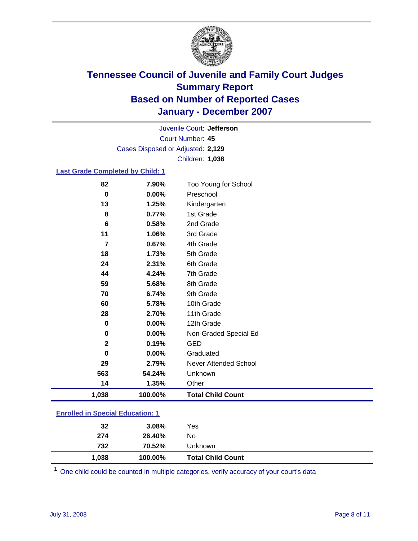

Court Number: **45** Juvenile Court: **Jefferson** Cases Disposed or Adjusted: **2,129** Children: **1,038**

### **Last Grade Completed by Child: 1**

| 82             | 7.90%   | Too Young for School     |
|----------------|---------|--------------------------|
| $\bf{0}$       | 0.00%   | Preschool                |
| 13             | 1.25%   | Kindergarten             |
| 8              | 0.77%   | 1st Grade                |
| 6              | 0.58%   | 2nd Grade                |
| 11             | 1.06%   | 3rd Grade                |
| $\overline{7}$ | 0.67%   | 4th Grade                |
| 18             | 1.73%   | 5th Grade                |
| 24             | 2.31%   | 6th Grade                |
| 44             | 4.24%   | 7th Grade                |
| 59             | 5.68%   | 8th Grade                |
| 70             | 6.74%   | 9th Grade                |
| 60             | 5.78%   | 10th Grade               |
| 28             | 2.70%   | 11th Grade               |
| $\bf{0}$       | 0.00%   | 12th Grade               |
| $\pmb{0}$      | 0.00%   | Non-Graded Special Ed    |
| $\mathbf{2}$   | 0.19%   | <b>GED</b>               |
| 0              | 0.00%   | Graduated                |
| 29             | 2.79%   | Never Attended School    |
| 563            | 54.24%  | Unknown                  |
| 14             | 1.35%   | Other                    |
| 1,038          | 100.00% | <b>Total Child Count</b> |

### **Enrolled in Special Education: 1**

| 32    | 3.08%   | Yes                      |
|-------|---------|--------------------------|
| 274   | 26.40%  | No                       |
| 732   | 70.52%  | Unknown                  |
| 1,038 | 100.00% | <b>Total Child Count</b> |

<sup>1</sup> One child could be counted in multiple categories, verify accuracy of your court's data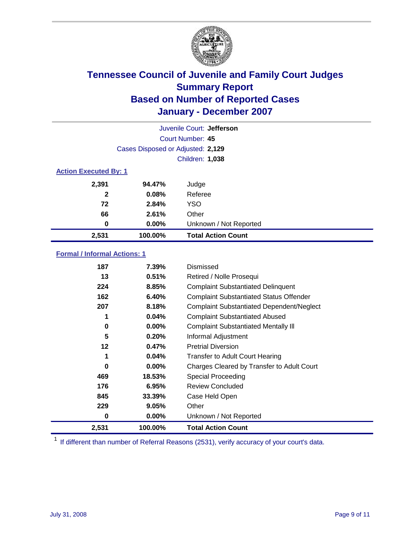

| Juvenile Court: Jefferson    |                                   |                           |  |  |  |
|------------------------------|-----------------------------------|---------------------------|--|--|--|
|                              | Court Number: 45                  |                           |  |  |  |
|                              | Cases Disposed or Adjusted: 2,129 |                           |  |  |  |
|                              | Children: 1,038                   |                           |  |  |  |
| <b>Action Executed By: 1</b> |                                   |                           |  |  |  |
| 2,391                        | 94.47%                            | Judge                     |  |  |  |
| $\mathbf{2}$                 | 0.08%                             | Referee                   |  |  |  |
| 72                           | 2.84%                             | <b>YSO</b>                |  |  |  |
| 66                           | 2.61%                             | Other                     |  |  |  |
| 0                            | 0.00%                             | Unknown / Not Reported    |  |  |  |
| 2,531                        | 100.00%                           | <b>Total Action Count</b> |  |  |  |

### **Formal / Informal Actions: 1**

| 187   | 7.39%    | Dismissed                                        |
|-------|----------|--------------------------------------------------|
| 13    | 0.51%    | Retired / Nolle Prosequi                         |
| 224   | 8.85%    | <b>Complaint Substantiated Delinquent</b>        |
| 162   | 6.40%    | <b>Complaint Substantiated Status Offender</b>   |
| 207   | 8.18%    | <b>Complaint Substantiated Dependent/Neglect</b> |
| 1     | 0.04%    | <b>Complaint Substantiated Abused</b>            |
| 0     | $0.00\%$ | <b>Complaint Substantiated Mentally III</b>      |
| 5     | 0.20%    | Informal Adjustment                              |
| 12    | 0.47%    | <b>Pretrial Diversion</b>                        |
| 1     | 0.04%    | <b>Transfer to Adult Court Hearing</b>           |
| 0     | $0.00\%$ | Charges Cleared by Transfer to Adult Court       |
| 469   | 18.53%   | Special Proceeding                               |
| 176   | 6.95%    | <b>Review Concluded</b>                          |
| 845   | 33.39%   | Case Held Open                                   |
| 229   | 9.05%    | Other                                            |
| 0     | $0.00\%$ | Unknown / Not Reported                           |
| 2,531 | 100.00%  | <b>Total Action Count</b>                        |

<sup>1</sup> If different than number of Referral Reasons (2531), verify accuracy of your court's data.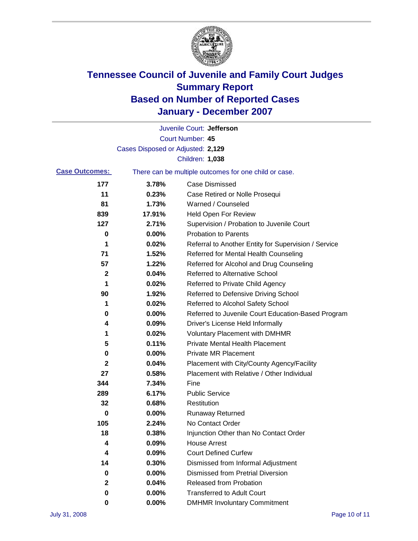

|                       |                                   | Juvenile Court: Jefferson                             |
|-----------------------|-----------------------------------|-------------------------------------------------------|
|                       |                                   | Court Number: 45                                      |
|                       | Cases Disposed or Adjusted: 2,129 |                                                       |
|                       |                                   | Children: 1,038                                       |
| <b>Case Outcomes:</b> |                                   | There can be multiple outcomes for one child or case. |
| 177                   | 3.78%                             | <b>Case Dismissed</b>                                 |
| 11                    | 0.23%                             | Case Retired or Nolle Prosequi                        |
| 81                    | 1.73%                             | Warned / Counseled                                    |
| 839                   | 17.91%                            | <b>Held Open For Review</b>                           |
| 127                   | 2.71%                             | Supervision / Probation to Juvenile Court             |
| 0                     | 0.00%                             | <b>Probation to Parents</b>                           |
| 1                     | 0.02%                             | Referral to Another Entity for Supervision / Service  |
| 71                    | 1.52%                             | Referred for Mental Health Counseling                 |
| 57                    | 1.22%                             | Referred for Alcohol and Drug Counseling              |
| 2                     | 0.04%                             | Referred to Alternative School                        |
| 1                     | 0.02%                             | Referred to Private Child Agency                      |
| 90                    | 1.92%                             | Referred to Defensive Driving School                  |
| 1                     | 0.02%                             | Referred to Alcohol Safety School                     |
| 0                     | 0.00%                             | Referred to Juvenile Court Education-Based Program    |
| 4                     | 0.09%                             | Driver's License Held Informally                      |
| 1                     | 0.02%                             | <b>Voluntary Placement with DMHMR</b>                 |
| 5                     | 0.11%                             | <b>Private Mental Health Placement</b>                |
| 0                     | 0.00%                             | <b>Private MR Placement</b>                           |
| 2                     | 0.04%                             | Placement with City/County Agency/Facility            |
| 27                    | 0.58%                             | Placement with Relative / Other Individual            |
| 344                   | 7.34%                             | Fine                                                  |
| 289                   | 6.17%                             | <b>Public Service</b>                                 |
| 32                    | 0.68%                             | Restitution                                           |
| 0                     | 0.00%                             | <b>Runaway Returned</b>                               |
| 105                   | 2.24%                             | No Contact Order                                      |
| 18                    | 0.38%                             | Injunction Other than No Contact Order                |
| 4                     | 0.09%                             | <b>House Arrest</b>                                   |
| 4                     | 0.09%                             | <b>Court Defined Curfew</b>                           |
| 14                    | 0.30%                             | Dismissed from Informal Adjustment                    |
| 0                     | 0.00%                             | <b>Dismissed from Pretrial Diversion</b>              |
| 2                     | 0.04%                             | Released from Probation                               |
| 0                     | 0.00%                             | <b>Transferred to Adult Court</b>                     |
| 0                     | $0.00\%$                          | <b>DMHMR Involuntary Commitment</b>                   |